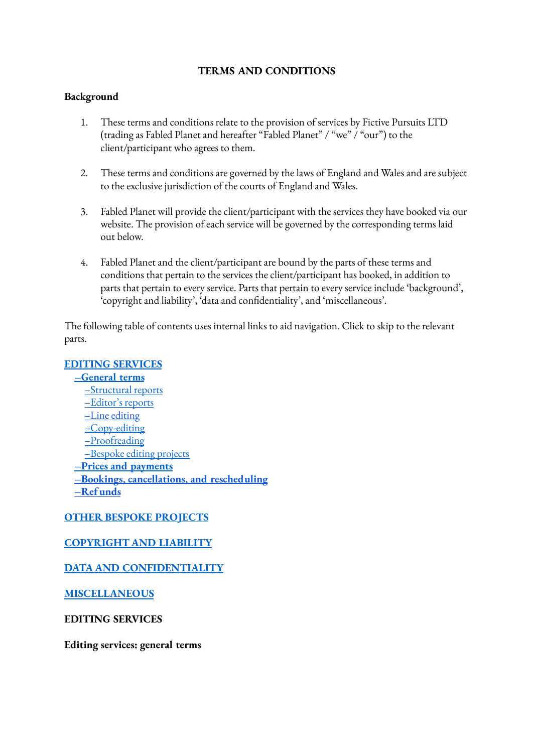#### **TERMS AND CONDITIONS**

#### **Background**

- 1. These terms and conditions relate to the provision of services by Fictive Pursuits LTD (trading as Fabled Planet and hereafter "Fabled Planet" / "we" / "our") to the client/participant who agrees to them.
- 2. These terms and conditions are governed by the laws of England and Wales and are subject to the exclusive jurisdiction of the courts of England and Wales.
- 3. Fabled Planet will provide the client/participant with the services they have booked via our website. The provision of each service will be governed by the corresponding terms laid out below.
- 4. Fabled Planet and the client/participant are bound by the parts of these terms and conditions that pertain to the services the client/participant has booked, in addition to parts that pertain to every service. Parts that pertain to every service include 'background', 'copyright and liability', 'data and confidentiality', and 'miscellaneous'.

The following table of contents uses internal links to aid navigation. Click to skip to the relevant parts.

#### **EDITING [SERVICES](#page-0-0)**

**[–General](#page-0-1) terms** [–Structural](#page-1-0) reports [–Editor's](#page-1-1) reports –Line [editing](#page-1-2) [–Copy-editing](#page-1-3) [–Proofreading](#page-1-4) [–Bespoke](#page-1-5) editing projects **–Prices and [payments](#page-2-0) –Bookings, [cancellations,](#page-2-1) and rescheduling [–Ref](#page-3-0) unds**

### **OTHER BESPOKE [PROJECTS](#page-3-1)**

### **[COPYRIGHT](#page-4-0) AND LIABILITY**

### **DATA AND [CONFIDENTIALITY](#page-4-1)**

**[MISCELLANEOUS](#page-5-0)**

#### <span id="page-0-0"></span>**EDITING SERVICES**

<span id="page-0-1"></span>**Editing services: general terms**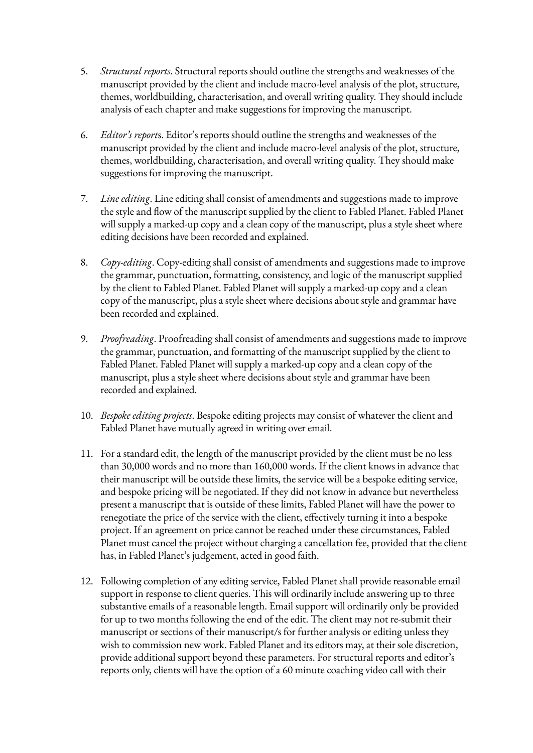- <span id="page-1-0"></span>5. *Structural reports*. Structural reports should outline the strengths and weaknesses of the manuscript provided by the client and include macro-level analysis of the plot, structure, themes, worldbuilding, characterisation, and overall writing quality. They should include analysis of each chapter and make suggestions for improving the manuscript.
- <span id="page-1-1"></span>6. *Editor's report*s. Editor's reports should outline the strengths and weaknesses of the manuscript provided by the client and include macro-level analysis of the plot, structure, themes, worldbuilding, characterisation, and overall writing quality. They should make suggestions for improving the manuscript.
- <span id="page-1-2"></span>7. *Line editing*. Line editing shall consist of amendments and suggestions made to improve the style and flow of the manuscript supplied by the client to Fabled Planet. Fabled Planet will supply a marked-up copy and a clean copy of the manuscript, plus a style sheet where editing decisions have been recorded and explained.
- <span id="page-1-3"></span>8. *Copy-editing*. Copy-editing shall consist of amendments and suggestions made to improve the grammar, punctuation, formatting, consistency, and logic of the manuscript supplied by the client to Fabled Planet. Fabled Planet will supply a marked-up copy and a clean copy of the manuscript, plus a style sheet where decisions about style and grammar have been recorded and explained.
- <span id="page-1-4"></span>9. *Proofreading*. Proofreading shall consist of amendments and suggestions made to improve the grammar, punctuation, and formatting of the manuscript supplied by the client to Fabled Planet. Fabled Planet will supply a marked-up copy and a clean copy of the manuscript, plus a style sheet where decisions about style and grammar have been recorded and explained.
- <span id="page-1-5"></span>10. *Bespoke editing projects*. Bespoke editing projects may consist of whatever the client and Fabled Planet have mutually agreed in writing over email.
- 11. For a standard edit, the length of the manuscript provided by the client must be no less than 30,000 words and no more than 160,000 words. If the client knows in advance that their manuscript will be outside these limits, the service will be a bespoke editing service, and bespoke pricing will be negotiated. If they did not know in advance but nevertheless present a manuscript that is outside of these limits, Fabled Planet will have the power to renegotiate the price of the service with the client, effectively turning it into a bespoke project. If an agreement on price cannot be reached under these circumstances, Fabled Planet must cancel the project without charging a cancellation fee, provided that the client has, in Fabled Planet's judgement, acted in good faith.
- 12. Following completion of any editing service, Fabled Planet shall provide reasonable email support in response to client queries. This will ordinarily include answering up to three substantive emails of a reasonable length. Email support will ordinarily only be provided for up to two months following the end of the edit. The client may not re-submit their manuscript or sections of their manuscript/s for further analysis or editing unless they wish to commission new work. Fabled Planet and its editors may, at their sole discretion, provide additional support beyond these parameters. For structural reports and editor's reports only, clients will have the option of a 60 minute coaching video call with their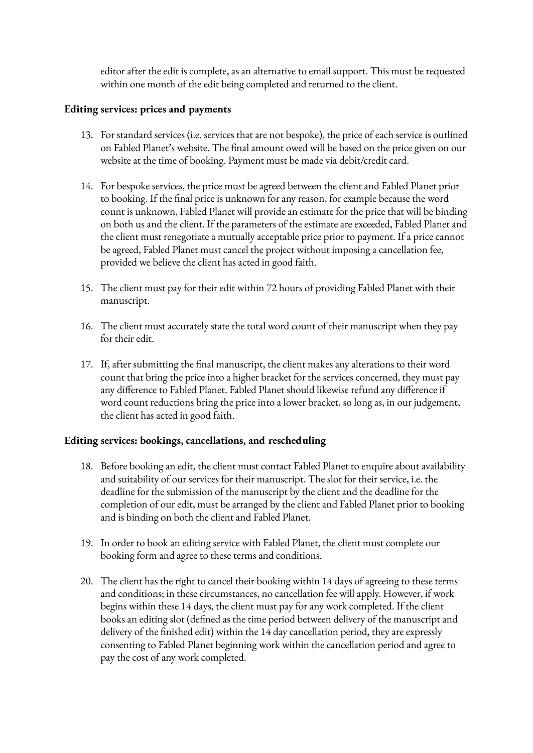editor after the edit is complete, as an alternative to email support. This must be requested within one month of the edit being completed and returned to the client.

### <span id="page-2-0"></span>**Editing services: prices and payments**

- 13. For standard services (i.e. services that are not bespoke), the price of each service is outlined on Fabled Planet's website. The final amount owed will be based on the price given on our website at the time of booking. Payment must be made via debit/credit card.
- 14. For bespoke services, the price must be agreed between the client and Fabled Planet prior to booking. If the final price is unknown for any reason, for example because the word count is unknown, Fabled Planet will provide an estimate for the price that will be binding on both us and the client. If the parameters of the estimate are exceeded, Fabled Planet and the client must renegotiate a mutually acceptable price prior to payment. If a price cannot be agreed, Fabled Planet must cancel the project without imposing a cancellation fee, provided we believe the client has acted in good faith.
- 15. The client must pay for their edit within 72 hours of providing Fabled Planet with their manuscript.
- 16. The client must accurately state the total word count of their manuscript when they pay for their edit.
- 17. If, after submitting the final manuscript, the client makes any alterations to their word count that bring the price into a higher bracket for the services concerned, they must pay any difference to Fabled Planet. Fabled Planet should likewise refund any difference if word count reductions bring the price into a lower bracket, so long as, in our judgement, the client has acted in good faith.

#### <span id="page-2-1"></span>**Editing services: bookings, cancellations, and rescheduling**

- 18. Before booking an edit, the client must contact Fabled Planet to enquire about availability and suitability of our services for their manuscript. The slot for their service, i.e. the deadline for the submission of the manuscript by the client and the deadline for the completion of our edit, must be arranged by the client and Fabled Planet prior to booking and is binding on both the client and Fabled Planet.
- 19. In order to book an editing service with Fabled Planet, the client must complete our booking form and agree to these terms and conditions.
- 20. The client has the right to cancel their booking within 14 days of agreeing to these terms and conditions; in these circumstances, no cancellation fee will apply. However, if work begins within these 14 days, the client must pay for any work completed. If the client books an editing slot (defined as the time period between delivery of the manuscript and delivery of the finished edit) within the 14 day cancellation period, they are expressly consenting to Fabled Planet beginning work within the cancellation period and agree to pay the cost of any work completed.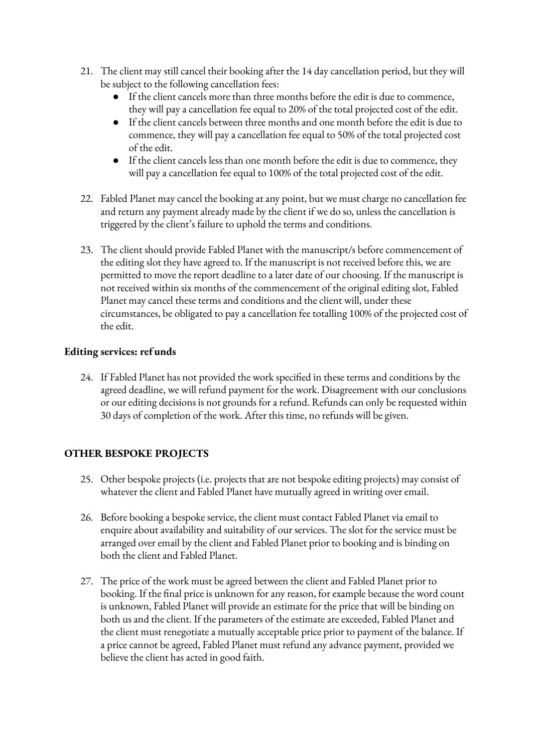- 21. The client may still cancel their booking after the 14 day cancellation period, but they will be subject to the following cancellation fees:
	- If the client cancels more than three months before the edit is due to commence, they will pay a cancellation fee equal to 20% of the total projected cost of the edit.
	- If the client cancels between three months and one month before the edit is due to commence, they will pay a cancellation fee equal to 50% of the total projected cost of the edit.
	- If the client cancels less than one month before the edit is due to commence, they will pay a cancellation fee equal to 100% of the total projected cost of the edit.
- 22. Fabled Planet may cancel the booking at any point, but we must charge no cancellation fee and return any payment already made by the client if we do so, unless the cancellation is triggered by the client's failure to uphold the terms and conditions.
- 23. The client should provide Fabled Planet with the manuscript/s before commencement of the editing slot they have agreed to. If the manuscript is not received before this, we are permitted to move the report deadline to a later date of our choosing. If the manuscript is not received within six months of the commencement of the original editing slot, Fabled Planet may cancel these terms and conditions and the client will, under these circumstances, be obligated to pay a cancellation fee totalling 100% of the projected cost of the edit.

## <span id="page-3-0"></span>**Editing services: ref unds**

24. If Fabled Planet has not provided the work specified in these terms and conditions by the agreed deadline, we will refund payment for the work. Disagreement with our conclusions or our editing decisions is not grounds for a refund. Refunds can only be requested within 30 days of completion of the work. After this time, no refunds will be given.

### <span id="page-3-1"></span>**OTHER BESPOKE PROJECTS**

- 25. Other bespoke projects (i.e. projects that are not bespoke editing projects) may consist of whatever the client and Fabled Planet have mutually agreed in writing over email.
- 26. Before booking a bespoke service, the client must contact Fabled Planet via email to enquire about availability and suitability of our services. The slot for the service must be arranged over email by the client and Fabled Planet prior to booking and is binding on both the client and Fabled Planet.
- 27. The price of the work must be agreed between the client and Fabled Planet prior to booking. If the final price is unknown for any reason, for example because the word count is unknown, Fabled Planet will provide an estimate for the price that will be binding on both us and the client. If the parameters of the estimate are exceeded, Fabled Planet and the client must renegotiate a mutually acceptable price prior to payment of the balance. If a price cannot be agreed, Fabled Planet must refund any advance payment, provided we believe the client has acted in good faith.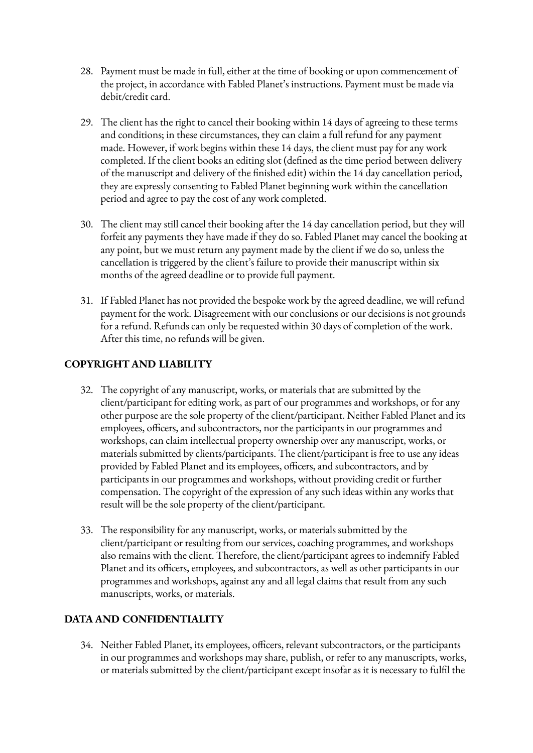- 28. Payment must be made in full, either at the time of booking or upon commencement of the project, in accordance with Fabled Planet's instructions. Payment must be made via debit/credit card.
- 29. The client has the right to cancel their booking within 14 days of agreeing to these terms and conditions; in these circumstances, they can claim a full refund for any payment made. However, if work begins within these 14 days, the client must pay for any work completed. If the client books an editing slot (defined as the time period between delivery of the manuscript and delivery of the finished edit) within the 14 day cancellation period, they are expressly consenting to Fabled Planet beginning work within the cancellation period and agree to pay the cost of any work completed.
- 30. The client may still cancel their booking after the 14 day cancellation period, but they will forfeit any payments they have made if they do so. Fabled Planet may cancel the booking at any point, but we must return any payment made by the client if we do so, unless the cancellation is triggered by the client's failure to provide their manuscript within six months of the agreed deadline or to provide full payment.
- 31. If Fabled Planet has not provided the bespoke work by the agreed deadline, we will refund payment for the work. Disagreement with our conclusions or our decisions is not grounds for a refund. Refunds can only be requested within 30 days of completion of the work. After this time, no refunds will be given.

# <span id="page-4-0"></span>**COPYRIGHT AND LIABILITY**

- 32. The copyright of any manuscript, works, or materials that are submitted by the client/participant for editing work, as part of our programmes and workshops, or for any other purpose are the sole property of the client/participant. Neither Fabled Planet and its employees, officers, and subcontractors, nor the participants in our programmes and workshops, can claim intellectual property ownership over any manuscript, works, or materials submitted by clients/participants. The client/participant is free to use any ideas provided by Fabled Planet and its employees, officers, and subcontractors, and by participants in our programmes and workshops, without providing credit or further compensation. The copyright of the expression of any such ideas within any works that result will be the sole property of the client/participant.
- 33. The responsibility for any manuscript, works, or materials submitted by the client/participant or resulting from our services, coaching programmes, and workshops also remains with the client. Therefore, the client/participant agrees to indemnify Fabled Planet and its officers, employees, and subcontractors, as well as other participants in our programmes and workshops, against any and all legal claims that result from any such manuscripts, works, or materials.

### <span id="page-4-1"></span>**DATA AND CONFIDENTIALITY**

34. Neither Fabled Planet, its employees, officers, relevant subcontractors, or the participants in our programmes and workshops may share, publish, or refer to any manuscripts, works, or materials submitted by the client/participant except insofar as it is necessary to fulfil the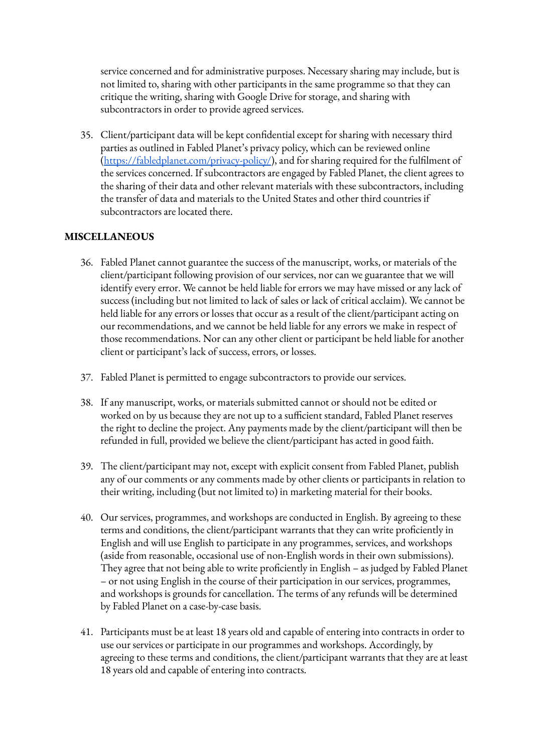service concerned and for administrative purposes. Necessary sharing may include, but is not limited to, sharing with other participants in the same programme so that they can critique the writing, sharing with Google Drive for storage, and sharing with subcontractors in order to provide agreed services.

35. Client/participant data will be kept confidential except for sharing with necessary third parties as outlined in Fabled Planet's privacy policy, which can be reviewed online [\(https://fabledplanet.com/privacy-policy/](https://fabledplanet.com/privacy-policy/)), and for sharing required for the fulfilment of the services concerned. If subcontractors are engaged by Fabled Planet, the client agrees to the sharing of their data and other relevant materials with these subcontractors, including the transfer of data and materials to the United States and other third countries if subcontractors are located there.

### <span id="page-5-0"></span>**MISCELLANEOUS**

- 36. Fabled Planet cannot guarantee the success of the manuscript, works, or materials of the client/participant following provision of our services, nor can we guarantee that we will identify every error. We cannot be held liable for errors we may have missed or any lack of success (including but not limited to lack of sales or lack of critical acclaim). We cannot be held liable for any errors or losses that occur as a result of the client/participant acting on our recommendations, and we cannot be held liable for any errors we make in respect of those recommendations. Nor can any other client or participant be held liable for another client or participant's lack of success, errors, or losses.
- 37. Fabled Planet is permitted to engage subcontractors to provide our services.
- 38. If any manuscript, works, or materials submitted cannot or should not be edited or worked on by us because they are not up to a sufficient standard, Fabled Planet reserves the right to decline the project. Any payments made by the client/participant will then be refunded in full, provided we believe the client/participant has acted in good faith.
- 39. The client/participant may not, except with explicit consent from Fabled Planet, publish any of our comments or any comments made by other clients or participants in relation to their writing, including (but not limited to) in marketing material for their books.
- 40. Our services, programmes, and workshops are conducted in English. By agreeing to these terms and conditions, the client/participant warrants that they can write proficiently in English and will use English to participate in any programmes, services, and workshops (aside from reasonable, occasional use of non-English words in their own submissions). They agree that not being able to write proficiently in English – as judged by Fabled Planet – or not using English in the course of their participation in our services, programmes, and workshops is grounds for cancellation. The terms of any refunds will be determined by Fabled Planet on a case-by-case basis.
- 41. Participants must be at least 18 years old and capable of entering into contracts in order to use our services or participate in our programmes and workshops. Accordingly, by agreeing to these terms and conditions, the client/participant warrants that they are at least 18 years old and capable of entering into contracts.